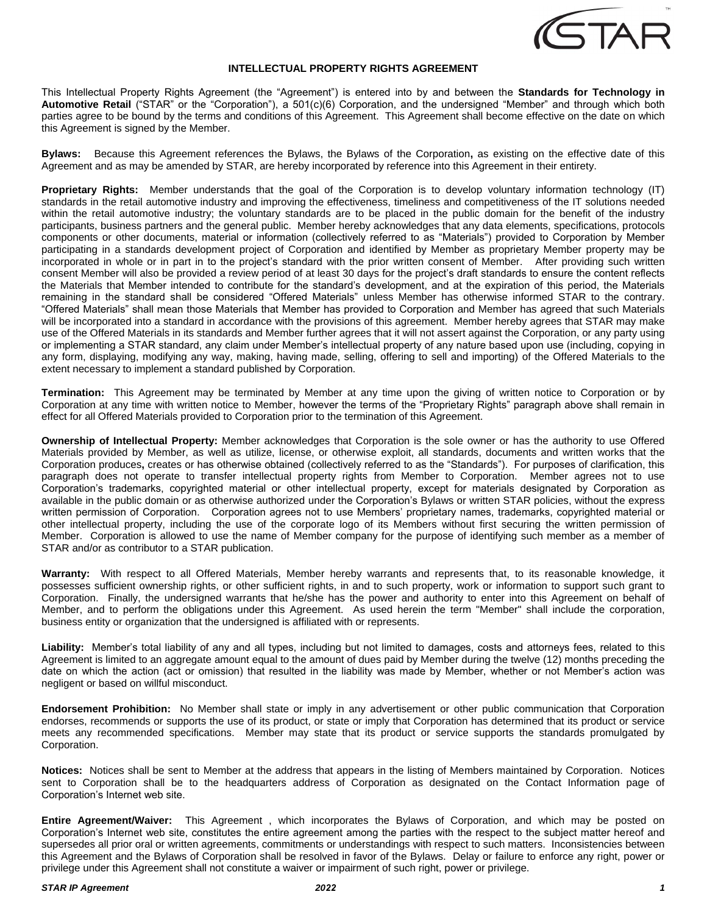

## **INTELLECTUAL PROPERTY RIGHTS AGREEMENT**

This Intellectual Property Rights Agreement (the "Agreement") is entered into by and between the **Standards for Technology in Automotive Retail** ("STAR" or the "Corporation"), a 501(c)(6) Corporation, and the undersigned "Member" and through which both parties agree to be bound by the terms and conditions of this Agreement. This Agreement shall become effective on the date on which this Agreement is signed by the Member.

**Bylaws:** Because this Agreement references the Bylaws, the Bylaws of the Corporation**,** as existing on the effective date of this Agreement and as may be amended by STAR, are hereby incorporated by reference into this Agreement in their entirety.

**Proprietary Rights:** Member understands that the goal of the Corporation is to develop voluntary information technology (IT) standards in the retail automotive industry and improving the effectiveness, timeliness and competitiveness of the IT solutions needed within the retail automotive industry; the voluntary standards are to be placed in the public domain for the benefit of the industry participants, business partners and the general public. Member hereby acknowledges that any data elements, specifications, protocols components or other documents, material or information (collectively referred to as "Materials") provided to Corporation by Member participating in a standards development project of Corporation and identified by Member as proprietary Member property may be incorporated in whole or in part in to the project's standard with the prior written consent of Member. After providing such written consent Member will also be provided a review period of at least 30 days for the project's draft standards to ensure the content reflects the Materials that Member intended to contribute for the standard's development, and at the expiration of this period, the Materials remaining in the standard shall be considered "Offered Materials" unless Member has otherwise informed STAR to the contrary. "Offered Materials" shall mean those Materials that Member has provided to Corporation and Member has agreed that such Materials will be incorporated into a standard in accordance with the provisions of this agreement. Member hereby agrees that STAR may make use of the Offered Materials in its standards and Member further agrees that it will not assert against the Corporation, or any party using or implementing a STAR standard, any claim under Member's intellectual property of any nature based upon use (including, copying in any form, displaying, modifying any way, making, having made, selling, offering to sell and importing) of the Offered Materials to the extent necessary to implement a standard published by Corporation.

**Termination:** This Agreement may be terminated by Member at any time upon the giving of written notice to Corporation or by Corporation at any time with written notice to Member, however the terms of the "Proprietary Rights" paragraph above shall remain in effect for all Offered Materials provided to Corporation prior to the termination of this Agreement.

**Ownership of Intellectual Property:** Member acknowledges that Corporation is the sole owner or has the authority to use Offered Materials provided by Member, as well as utilize, license, or otherwise exploit, all standards, documents and written works that the Corporation produces**,** creates or has otherwise obtained (collectively referred to as the "Standards"). For purposes of clarification, this paragraph does not operate to transfer intellectual property rights from Member to Corporation. Member agrees not to use Corporation's trademarks, copyrighted material or other intellectual property, except for materials designated by Corporation as available in the public domain or as otherwise authorized under the Corporation's Bylaws or written STAR policies, without the express written permission of Corporation. Corporation agrees not to use Members' proprietary names, trademarks, copyrighted material or other intellectual property, including the use of the corporate logo of its Members without first securing the written permission of Member. Corporation is allowed to use the name of Member company for the purpose of identifying such member as a member of STAR and/or as contributor to a STAR publication.

**Warranty:** With respect to all Offered Materials, Member hereby warrants and represents that, to its reasonable knowledge, it possesses sufficient ownership rights, or other sufficient rights, in and to such property, work or information to support such grant to Corporation. Finally, the undersigned warrants that he/she has the power and authority to enter into this Agreement on behalf of Member, and to perform the obligations under this Agreement. As used herein the term "Member" shall include the corporation, business entity or organization that the undersigned is affiliated with or represents.

**Liability:** Member's total liability of any and all types, including but not limited to damages, costs and attorneys fees, related to this Agreement is limited to an aggregate amount equal to the amount of dues paid by Member during the twelve (12) months preceding the date on which the action (act or omission) that resulted in the liability was made by Member, whether or not Member's action was negligent or based on willful misconduct.

**Endorsement Prohibition:** No Member shall state or imply in any advertisement or other public communication that Corporation endorses, recommends or supports the use of its product, or state or imply that Corporation has determined that its product or service meets any recommended specifications. Member may state that its product or service supports the standards promulgated by Corporation.

**Notices:** Notices shall be sent to Member at the address that appears in the listing of Members maintained by Corporation. Notices sent to Corporation shall be to the headquarters address of Corporation as designated on the Contact Information page of Corporation's Internet web site.

**Entire Agreement/Waiver:** This Agreement , which incorporates the Bylaws of Corporation, and which may be posted on Corporation's Internet web site, constitutes the entire agreement among the parties with the respect to the subject matter hereof and supersedes all prior oral or written agreements, commitments or understandings with respect to such matters. Inconsistencies between this Agreement and the Bylaws of Corporation shall be resolved in favor of the Bylaws. Delay or failure to enforce any right, power or privilege under this Agreement shall not constitute a waiver or impairment of such right, power or privilege.